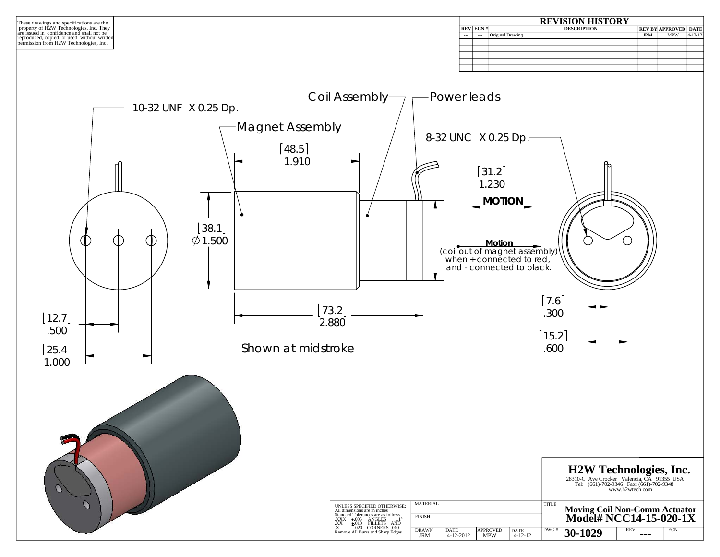